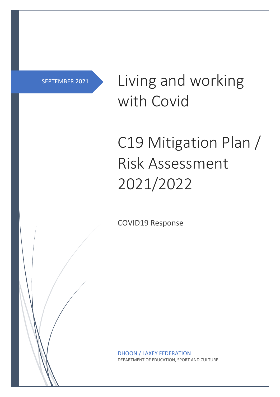## SEPTEMBER 2021

Living and working with Covid

## C19 Mitigation Plan / Risk Assessment 2021/2022

COVID19 Response

DHOON / LAXEY FEDERATION DEPARTMENT OF EDUCATION, SPORT AND CULTURE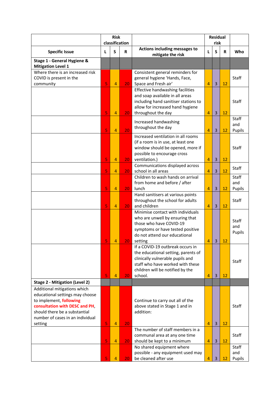|                                                                 | <b>Risk</b><br>classification |                |                 |                                                                         | <b>Residual</b><br>risk |                |    |              |
|-----------------------------------------------------------------|-------------------------------|----------------|-----------------|-------------------------------------------------------------------------|-------------------------|----------------|----|--------------|
| <b>Specific Issue</b>                                           | L                             | S              | R               | Actions including messages to<br>mitigate the risk                      | L                       | S              | R  | Who          |
| Stage 1 - General Hygiene &<br><b>Mitigation Level 1</b>        |                               |                |                 |                                                                         |                         |                |    |              |
| Where there is an increased risk                                |                               |                |                 | Consistent general reminders for                                        |                         |                |    |              |
| COVID is present in the                                         |                               |                |                 | general hygiene 'Hands, Face,                                           |                         |                |    | <b>Staff</b> |
| community                                                       | 5                             | $\overline{4}$ | 20 <sub>1</sub> | Space and Fresh air'                                                    | 4                       | $\overline{3}$ | 12 |              |
|                                                                 |                               |                |                 | Effective handwashing facilities                                        |                         |                |    |              |
|                                                                 |                               |                |                 | and soap available in all areas<br>including hand sanitiser stations to |                         |                |    | Staff        |
|                                                                 |                               |                |                 | allow for increased hand hygiene                                        |                         |                |    |              |
|                                                                 | 5                             | 4              | 20 <sub>1</sub> | throughout the day                                                      | 4                       | $\overline{3}$ | 12 |              |
|                                                                 |                               |                |                 |                                                                         |                         |                |    | Staff        |
|                                                                 |                               |                |                 | Increased handwashing<br>throughout the day                             |                         |                |    | and          |
|                                                                 | 5                             | 4              | 20              |                                                                         | $\overline{4}$          | 3              | 12 | Pupils       |
|                                                                 |                               |                |                 | Increased ventilation in all rooms                                      |                         |                |    |              |
|                                                                 |                               |                |                 | (if a room is in use, at least one                                      |                         |                |    |              |
|                                                                 |                               |                |                 | window should be opened, more if                                        |                         |                |    | Staff        |
|                                                                 | 5                             |                |                 | possible to encourage cross                                             | $\overline{4}$          | 3              |    |              |
|                                                                 |                               | 4              | 20 <sub>1</sub> | ventilation.)<br>Communications displayed across                        |                         |                | 12 |              |
|                                                                 | 5                             | 4              | 20 <sub>1</sub> | school in all areas                                                     | 4                       | $\overline{3}$ | 12 | <b>Staff</b> |
|                                                                 |                               |                |                 | Children to wash hands on arrival                                       |                         |                |    | Staff        |
|                                                                 |                               |                |                 | from home and before / after                                            |                         |                |    | and          |
|                                                                 | 5                             | 4              | 20              | lunch                                                                   | $\overline{4}$          | 3              | 12 | Pupils       |
|                                                                 |                               |                |                 | Hand sanitisers at various points                                       |                         |                |    |              |
|                                                                 |                               |                |                 | throughout the school for adults                                        |                         |                |    | <b>Staff</b> |
|                                                                 | 5                             | 4              | 20              | and children                                                            | 4                       | $\overline{3}$ | 12 |              |
|                                                                 |                               |                |                 | Minimise contact with individuals                                       |                         |                |    |              |
|                                                                 |                               |                |                 | who are unwell by ensuring that                                         |                         |                |    | <b>Staff</b> |
|                                                                 |                               |                |                 | those who have COVID-19<br>symptoms or have tested positive             |                         |                |    | and          |
|                                                                 |                               |                |                 | do not attend our educational                                           |                         |                |    | Pupils       |
|                                                                 | 5                             | 4              | 20              | setting                                                                 | 4                       | $\overline{3}$ | 12 |              |
|                                                                 |                               |                |                 | If a COVID-19 outbreak occurs in                                        |                         |                |    |              |
|                                                                 |                               |                |                 | the educational setting, parents of                                     |                         |                |    |              |
|                                                                 |                               |                |                 | clinically vulnerable pupils and                                        |                         |                |    | Staff        |
|                                                                 |                               |                |                 | staff who have worked with these                                        |                         |                |    |              |
|                                                                 |                               |                |                 | children will be notified by the                                        |                         |                |    |              |
|                                                                 | 5                             | 4              | 20              | school.                                                                 | 4                       | $\overline{3}$ | 12 |              |
| <b>Stage 2 - Mitigation (Level 2)</b>                           |                               |                |                 |                                                                         |                         |                |    |              |
| Additional mitigations which<br>educational settings may choose |                               |                |                 |                                                                         |                         |                |    |              |
| to implement, following                                         |                               |                |                 | Continue to carry out all of the                                        |                         |                |    |              |
| consultation with DESC and PH,                                  |                               |                |                 | above stated in Stage 1 and in                                          |                         |                |    | <b>Staff</b> |
| should there be a substantial                                   |                               |                |                 | addition:                                                               |                         |                |    |              |
| number of cases in an individual                                |                               |                |                 |                                                                         |                         |                |    |              |
| setting                                                         | 5                             | 4              | 20              |                                                                         | 4                       | $\overline{3}$ | 12 |              |
|                                                                 |                               |                |                 | The number of staff members in a                                        |                         |                |    |              |
|                                                                 |                               |                |                 | communal area at any one time                                           |                         |                |    | Staff        |
|                                                                 | 5                             | 4              | 20 <sub>1</sub> | should be kept to a minimum                                             | 4                       | $\overline{3}$ | 12 |              |
|                                                                 |                               |                |                 | No shared equipment where<br>possible - any equipment used may          |                         |                |    | Staff<br>and |
|                                                                 | 5                             | 4              | 20              | be cleaned after use                                                    | 4                       | $\overline{3}$ | 12 | Pupils       |
|                                                                 |                               |                |                 |                                                                         |                         |                |    |              |